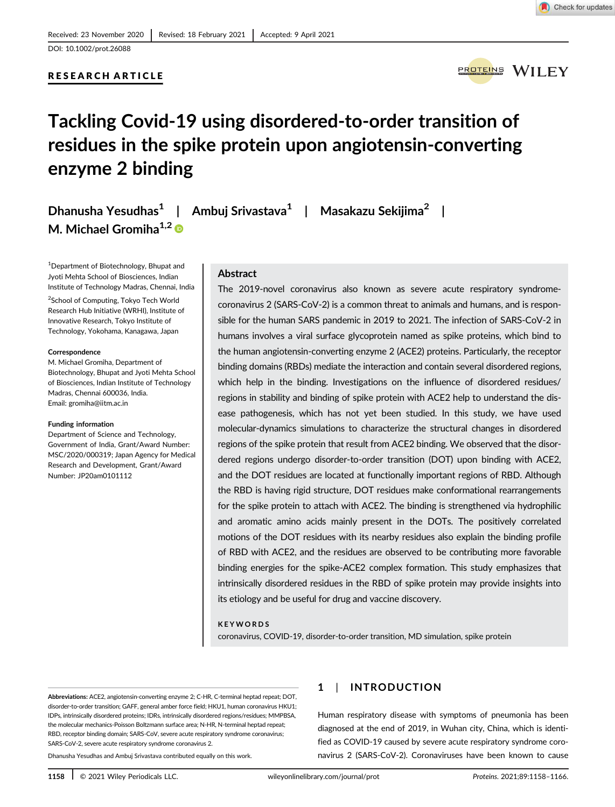# RESEARCH ARTICLE



# Tackling Covid-19 using disordered-to-order transition of residues in the spike protein upon angiotensin-converting enzyme 2 binding

| Dhanusha Yesudhas <sup>1</sup>   Ambuj Srivastava <sup>1</sup>   Masakazu Sekijima <sup>2</sup> |  |  |
|-------------------------------------------------------------------------------------------------|--|--|
| M. Michael Gromiha <sup>1,2</sup>                                                               |  |  |

<sup>1</sup>Department of Biotechnology, Bhupat and Jyoti Mehta School of Biosciences, Indian Institute of Technology Madras, Chennai, India <sup>2</sup>School of Computing, Tokyo Tech World

Research Hub Initiative (WRHI), Institute of Innovative Research, Tokyo Institute of Technology, Yokohama, Kanagawa, Japan

#### Correspondence

M. Michael Gromiha, Department of Biotechnology, Bhupat and Jyoti Mehta School of Biosciences, Indian Institute of Technology Madras, Chennai 600036, India. Email: gromiha@iitm.ac.in

#### Funding information

Department of Science and Technology, Government of India, Grant/Award Number: MSC/2020/000319; Japan Agency for Medical Research and Development, Grant/Award Number: JP20am0101112

# Abstract

The 2019-novel coronavirus also known as severe acute respiratory syndromecoronavirus 2 (SARS-CoV-2) is a common threat to animals and humans, and is responsible for the human SARS pandemic in 2019 to 2021. The infection of SARS-CoV-2 in humans involves a viral surface glycoprotein named as spike proteins, which bind to the human angiotensin-converting enzyme 2 (ACE2) proteins. Particularly, the receptor binding domains (RBDs) mediate the interaction and contain several disordered regions, which help in the binding. Investigations on the influence of disordered residues/ regions in stability and binding of spike protein with ACE2 help to understand the disease pathogenesis, which has not yet been studied. In this study, we have used molecular-dynamics simulations to characterize the structural changes in disordered regions of the spike protein that result from ACE2 binding. We observed that the disordered regions undergo disorder-to-order transition (DOT) upon binding with ACE2, and the DOT residues are located at functionally important regions of RBD. Although the RBD is having rigid structure, DOT residues make conformational rearrangements for the spike protein to attach with ACE2. The binding is strengthened via hydrophilic and aromatic amino acids mainly present in the DOTs. The positively correlated motions of the DOT residues with its nearby residues also explain the binding profile of RBD with ACE2, and the residues are observed to be contributing more favorable binding energies for the spike-ACE2 complex formation. This study emphasizes that intrinsically disordered residues in the RBD of spike protein may provide insights into its etiology and be useful for drug and vaccine discovery.

#### KEYWORDS

coronavirus, COVID-19, disorder-to-order transition, MD simulation, spike protein

Abbreviations: ACE2, angiotensin-converting enzyme 2; C-HR, C-terminal heptad repeat; DOT, disorder-to-order transition; GAFF, general amber force field; HKU1, human coronavirus HKU1; IDPs, intrinsically disordered proteins; IDRs, intrinsically disordered regions/residues; MMPBSA, the molecular mechanics-Poisson Boltzmann surface area; N-HR, N-terminal heptad repeat; RBD, receptor binding domain; SARS-CoV, severe acute respiratory syndrome coronavirus; SARS-CoV-2, severe acute respiratory syndrome coronavirus 2.

Dhanusha Yesudhas and Ambuj Srivastava contributed equally on this work.

# 1 | INTRODUCTION

Human respiratory disease with symptoms of pneumonia has been diagnosed at the end of 2019, in Wuhan city, China, which is identified as COVID-19 caused by severe acute respiratory syndrome coronavirus 2 (SARS-CoV-2). Coronaviruses have been known to cause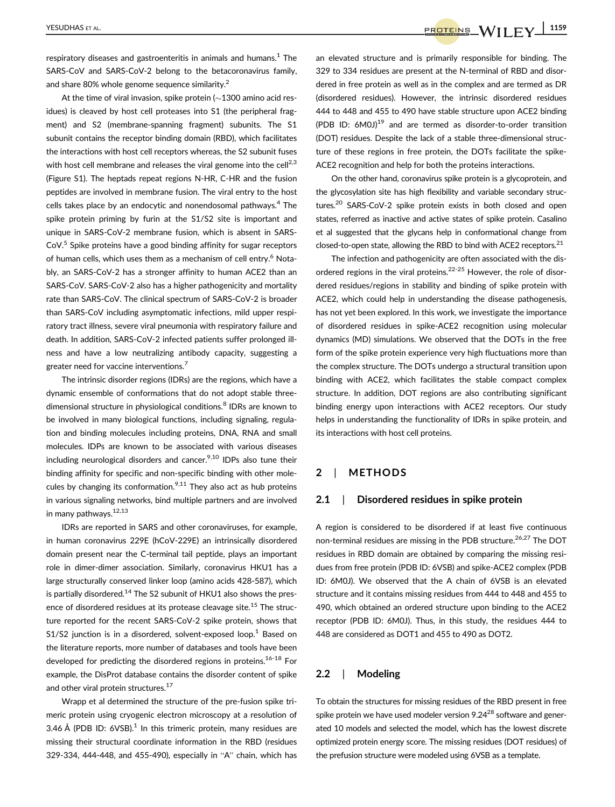respiratory diseases and gastroenteritis in animals and humans. $^{\rm 1}$  The SARS-CoV and SARS-CoV-2 belong to the betacoronavirus family, and share 80% whole genome sequence similarity.<sup>2</sup>

At the time of viral invasion, spike protein ( $\sim$ 1300 amino acid residues) is cleaved by host cell proteases into S1 (the peripheral fragment) and S2 (membrane-spanning fragment) subunits. The S1 subunit contains the receptor binding domain (RBD), which facilitates the interactions with host cell receptors whereas, the S2 subunit fuses with host cell membrane and releases the viral genome into the cell<sup>2,3</sup> (Figure S1). The heptads repeat regions N-HR, C-HR and the fusion peptides are involved in membrane fusion. The viral entry to the host cells takes place by an endocytic and nonendosomal pathways.<sup>4</sup> The spike protein priming by furin at the S1/S2 site is important and unique in SARS-CoV-2 membrane fusion, which is absent in SARS-CoV.<sup>5</sup> Spike proteins have a good binding affinity for sugar receptors of human cells, which uses them as a mechanism of cell entry.<sup>6</sup> Notably, an SARS-CoV-2 has a stronger affinity to human ACE2 than an SARS-CoV. SARS-CoV-2 also has a higher pathogenicity and mortality rate than SARS-CoV. The clinical spectrum of SARS-CoV-2 is broader than SARS-CoV including asymptomatic infections, mild upper respiratory tract illness, severe viral pneumonia with respiratory failure and death. In addition, SARS-CoV-2 infected patients suffer prolonged illness and have a low neutralizing antibody capacity, suggesting a greater need for vaccine interventions.<sup>7</sup>

The intrinsic disorder regions (IDRs) are the regions, which have a dynamic ensemble of conformations that do not adopt stable threedimensional structure in physiological conditions.<sup>8</sup> IDRs are known to be involved in many biological functions, including signaling, regulation and binding molecules including proteins, DNA, RNA and small molecules. IDPs are known to be associated with various diseases including neurological disorders and cancer. $9,10$  IDPs also tune their binding affinity for specific and non-specific binding with other molecules by changing its conformation.<sup>9,11</sup> They also act as hub proteins in various signaling networks, bind multiple partners and are involved in many pathways.<sup>12,13</sup>

IDRs are reported in SARS and other coronaviruses, for example, in human coronavirus 229E (hCoV-229E) an intrinsically disordered domain present near the C-terminal tail peptide, plays an important role in dimer-dimer association. Similarly, coronavirus HKU1 has a large structurally conserved linker loop (amino acids 428-587), which is partially disordered.<sup>14</sup> The S2 subunit of HKU1 also shows the presence of disordered residues at its protease cleavage site.<sup>15</sup> The structure reported for the recent SARS-CoV-2 spike protein, shows that S1/S2 junction is in a disordered, solvent-exposed loop.<sup>1</sup> Based on the literature reports, more number of databases and tools have been developed for predicting the disordered regions in proteins.<sup>16-18</sup> For example, the DisProt database contains the disorder content of spike and other viral protein structures.<sup>17</sup>

Wrapp et al determined the structure of the pre-fusion spike trimeric protein using cryogenic electron microscopy at a resolution of 3.46 Å (PDB ID: 6VSB). $^1$  In this trimeric protein, many residues are missing their structural coordinate information in the RBD (residues 329-334, 444-448, and 455-490), especially in "A" chain, which has an elevated structure and is primarily responsible for binding. The 329 to 334 residues are present at the N-terminal of RBD and disordered in free protein as well as in the complex and are termed as DR (disordered residues). However, the intrinsic disordered residues 444 to 448 and 455 to 490 have stable structure upon ACE2 binding (PDB ID: 6M0J)<sup>19</sup> and are termed as disorder-to-order transition (DOT) residues. Despite the lack of a stable three-dimensional structure of these regions in free protein, the DOTs facilitate the spike-ACE2 recognition and help for both the proteins interactions.

On the other hand, coronavirus spike protein is a glycoprotein, and the glycosylation site has high flexibility and variable secondary structures.<sup>20</sup> SARS-CoV-2 spike protein exists in both closed and open states, referred as inactive and active states of spike protein. Casalino et al suggested that the glycans help in conformational change from closed-to-open state, allowing the RBD to bind with ACE2 receptors. $^{21}$ 

The infection and pathogenicity are often associated with the disordered regions in the viral proteins.<sup>22-25</sup> However, the role of disordered residues/regions in stability and binding of spike protein with ACE2, which could help in understanding the disease pathogenesis, has not yet been explored. In this work, we investigate the importance of disordered residues in spike-ACE2 recognition using molecular dynamics (MD) simulations. We observed that the DOTs in the free form of the spike protein experience very high fluctuations more than the complex structure. The DOTs undergo a structural transition upon binding with ACE2, which facilitates the stable compact complex structure. In addition, DOT regions are also contributing significant binding energy upon interactions with ACE2 receptors. Our study helps in understanding the functionality of IDRs in spike protein, and its interactions with host cell proteins.

## 2 | METHODS

#### 2.1 | Disordered residues in spike protein

A region is considered to be disordered if at least five continuous non-terminal residues are missing in the PDB structure.<sup>26,27</sup> The DOT residues in RBD domain are obtained by comparing the missing residues from free protein (PDB ID: 6VSB) and spike-ACE2 complex (PDB ID: 6M0J). We observed that the A chain of 6VSB is an elevated structure and it contains missing residues from 444 to 448 and 455 to 490, which obtained an ordered structure upon binding to the ACE2 receptor (PDB ID: 6M0J). Thus, in this study, the residues 444 to 448 are considered as DOT1 and 455 to 490 as DOT2.

# 2.2 | Modeling

To obtain the structures for missing residues of the RBD present in free spike protein we have used modeler version 9.24<sup>28</sup> software and generated 10 models and selected the model, which has the lowest discrete optimized protein energy score. The missing residues (DOT residues) of the prefusion structure were modeled using 6VSB as a template.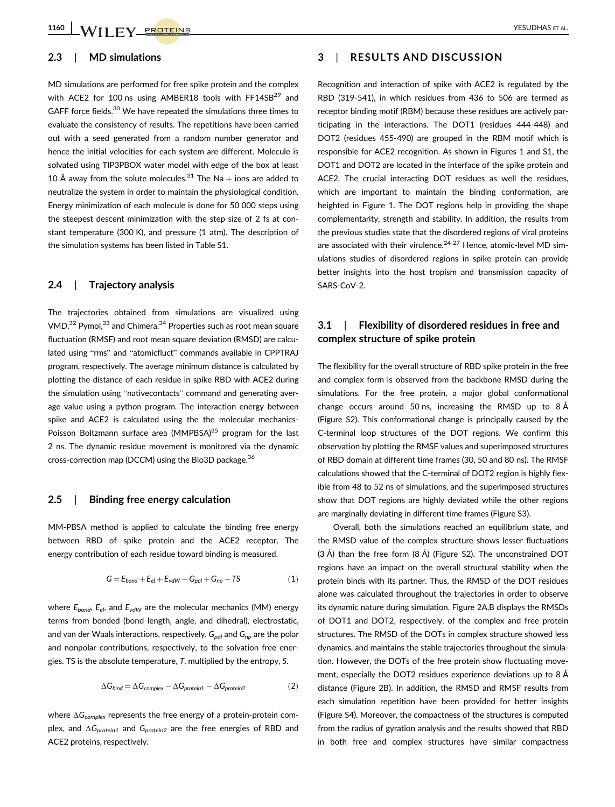## 2.3 | MD simulations

MD simulations are performed for free spike protein and the complex with ACE2 for 100 ns using AMBER18 tools with FF14SB<sup>29</sup> and GAFF force fields.<sup>30</sup> We have repeated the simulations three times to evaluate the consistency of results. The repetitions have been carried out with a seed generated from a random number generator and hence the initial velocities for each system are different. Molecule is solvated using TIP3PBOX water model with edge of the box at least 10 Å away from the solute molecules.<sup>31</sup> The Na + ions are added to neutralize the system in order to maintain the physiological condition. Energy minimization of each molecule is done for 50 000 steps using the steepest descent minimization with the step size of 2 fs at constant temperature (300 K), and pressure (1 atm). The description of the simulation systems has been listed in Table S1.

### 2.4 | Trajectory analysis

The trajectories obtained from simulations are visualized using  $VMD<sub>1</sub><sup>32</sup>$  Pymol,<sup>33</sup> and Chimera.<sup>34</sup> Properties such as root mean square fluctuation (RMSF) and root mean square deviation (RMSD) are calculated using "rms" and "atomicfluct" commands available in CPPTRAJ program, respectively. The average minimum distance is calculated by plotting the distance of each residue in spike RBD with ACE2 during the simulation using "nativecontacts" command and generating average value using a python program. The interaction energy between spike and ACE2 is calculated using the the molecular mechanics-Poisson Boltzmann surface area  $(MMPBSA)^{35}$  program for the last 2 ns. The dynamic residue movement is monitored via the dynamic cross-correction map (DCCM) using the Bio3D package.<sup>36</sup>

### 2.5 | Binding free energy calculation

MM-PBSA method is applied to calculate the binding free energy between RBD of spike protein and the ACE2 receptor. The energy contribution of each residue toward binding is measured.

$$
G = E_{bond} + E_{el} + E_{vdW} + G_{pol} + G_{np} - TS \tag{1}
$$

where  $E_{bond}$ ,  $E_{el}$ , and  $E_{vdW}$  are the molecular mechanics (MM) energy terms from bonded (bond length, angle, and dihedral), electrostatic, and van der Waals interactions, respectively.  $G_{pol}$  and  $G_{nn}$  are the polar and nonpolar contributions, respectively, to the solvation free energies. TS is the absolute temperature, T, multiplied by the entropy, S.

$$
\Delta G_{bind} = \Delta G_{complex} - \Delta G_{protein1} - \Delta G_{protein2}
$$
 (2)

where ∆G<sub>complex</sub> represents the free energy of a protein-protein complex, and ∆G<sub>protein1</sub> and G<sub>protein2</sub> are the free energies of RBD and ACE2 proteins, respectively.

# 3 | RESULTS AND DISCUSSION

Recognition and interaction of spike with ACE2 is regulated by the RBD (319-541), in which residues from 436 to 506 are termed as receptor binding motif (RBM) because these residues are actively participating in the interactions. The DOT1 (residues 444-448) and DOT2 (residues 455-490) are grouped in the RBM motif which is responsible for ACE2 recognition. As shown in Figures 1 and S1, the DOT1 and DOT2 are located in the interface of the spike protein and ACE2. The crucial interacting DOT residues as well the residues, which are important to maintain the binding conformation, are heighted in Figure 1. The DOT regions help in providing the shape complementarity, strength and stability. In addition, the results from the previous studies state that the disordered regions of viral proteins are associated with their virulence. $24-27$  Hence, atomic-level MD simulations studies of disordered regions in spike protein can provide better insights into the host tropism and transmission capacity of SARS-CoV-2.

# 3.1 | Flexibility of disordered residues in free and complex structure of spike protein

The flexibility for the overall structure of RBD spike protein in the free and complex form is observed from the backbone RMSD during the simulations. For the free protein, a major global conformational change occurs around 50 ns, increasing the RMSD up to 8 Å (Figure S2). This conformational change is principally caused by the C-terminal loop structures of the DOT regions. We confirm this observation by plotting the RMSF values and superimposed structures of RBD domain at different time frames (30, 50 and 80 ns). The RMSF calculations showed that the C-terminal of DOT2 region is highly flexible from 48 to 52 ns of simulations, and the superimposed structures show that DOT regions are highly deviated while the other regions are marginally deviating in different time frames (Figure S3).

Overall, both the simulations reached an equilibrium state, and the RMSD value of the complex structure shows lesser fluctuations (3 Å) than the free form (8 Å) (Figure S2). The unconstrained DOT regions have an impact on the overall structural stability when the protein binds with its partner. Thus, the RMSD of the DOT residues alone was calculated throughout the trajectories in order to observe its dynamic nature during simulation. Figure 2A,B displays the RMSDs of DOT1 and DOT2, respectively, of the complex and free protein structures. The RMSD of the DOTs in complex structure showed less dynamics, and maintains the stable trajectories throughout the simulation. However, the DOTs of the free protein show fluctuating movement, especially the DOT2 residues experience deviations up to 8 Å distance (Figure 2B). In addition, the RMSD and RMSF results from each simulation repetition have been provided for better insights (Figure S4). Moreover, the compactness of the structures is computed from the radius of gyration analysis and the results showed that RBD in both free and complex structures have similar compactness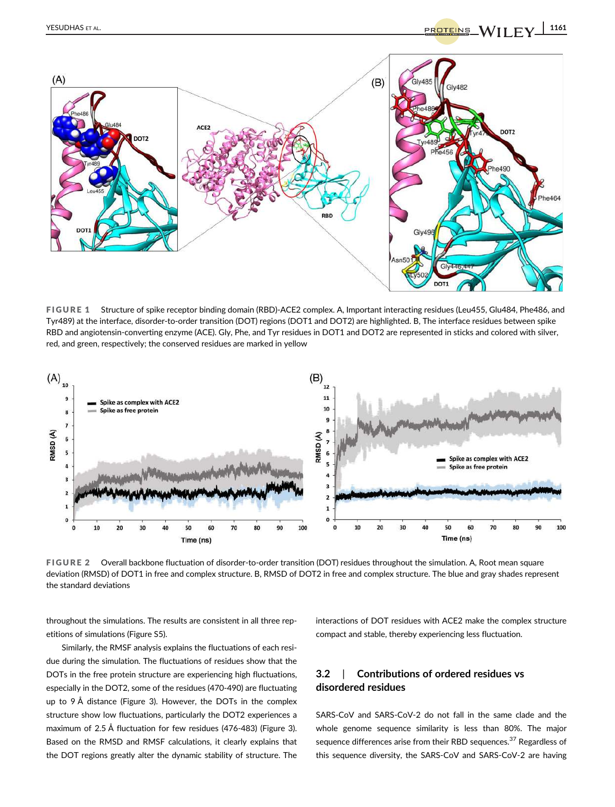

FIGURE 1 Structure of spike receptor binding domain (RBD)-ACE2 complex. A, Important interacting residues (Leu455, Glu484, Phe486, and Tyr489) at the interface, disorder-to-order transition (DOT) regions (DOT1 and DOT2) are highlighted. B, The interface residues between spike RBD and angiotensin-converting enzyme (ACE). Gly, Phe, and Tyr residues in DOT1 and DOT2 are represented in sticks and colored with silver, red, and green, respectively; the conserved residues are marked in yellow



FIGURE 2 Overall backbone fluctuation of disorder-to-order transition (DOT) residues throughout the simulation. A, Root mean square deviation (RMSD) of DOT1 in free and complex structure. B, RMSD of DOT2 in free and complex structure. The blue and gray shades represent the standard deviations

throughout the simulations. The results are consistent in all three repetitions of simulations (Figure S5).

Similarly, the RMSF analysis explains the fluctuations of each residue during the simulation. The fluctuations of residues show that the DOTs in the free protein structure are experiencing high fluctuations, especially in the DOT2, some of the residues (470-490) are fluctuating up to 9 Å distance (Figure 3). However, the DOTs in the complex structure show low fluctuations, particularly the DOT2 experiences a maximum of 2.5 Å fluctuation for few residues (476-483) (Figure 3). Based on the RMSD and RMSF calculations, it clearly explains that the DOT regions greatly alter the dynamic stability of structure. The

interactions of DOT residues with ACE2 make the complex structure compact and stable, thereby experiencing less fluctuation.

# 3.2 | Contributions of ordered residues vs disordered residues

SARS-CoV and SARS-CoV-2 do not fall in the same clade and the whole genome sequence similarity is less than 80%. The major sequence differences arise from their RBD sequences.<sup>37</sup> Regardless of this sequence diversity, the SARS-CoV and SARS-CoV-2 are having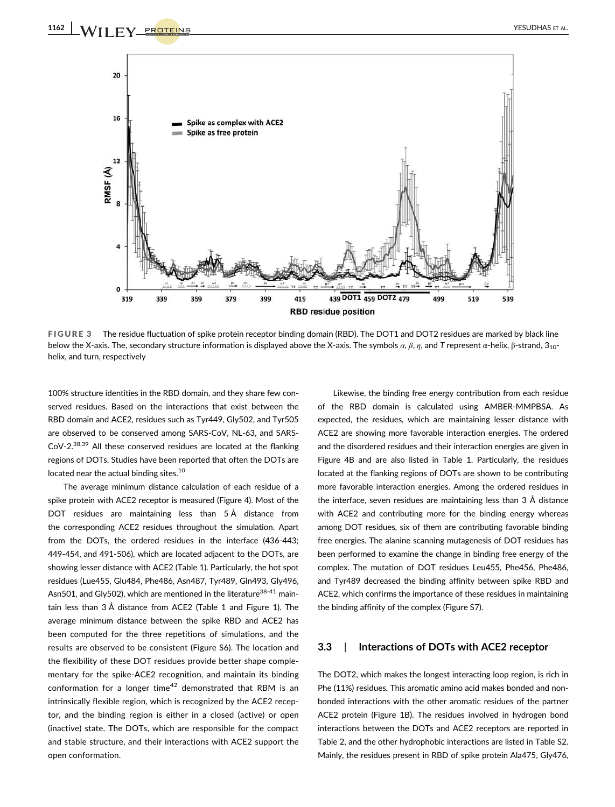

FIGURE 3 The residue fluctuation of spike protein receptor binding domain (RBD). The DOT1 and DOT2 residues are marked by black line below the X-axis. The, secondary structure information is displayed above the X-axis. The symbols  $\alpha$ ,  $\beta$ ,  $\eta$ , and T represent  $\alpha$ -helix,  $\beta$ -strand, 3<sub>10</sub>helix, and turn, respectively

100% structure identities in the RBD domain, and they share few conserved residues. Based on the interactions that exist between the RBD domain and ACE2, residues such as Tyr449, Gly502, and Tyr505 are observed to be conserved among SARS-CoV, NL-63, and SARS-CoV-2.38,39 All these conserved residues are located at the flanking regions of DOTs. Studies have been reported that often the DOTs are located near the actual binding sites.<sup>10</sup>

The average minimum distance calculation of each residue of a spike protein with ACE2 receptor is measured (Figure 4). Most of the DOT residues are maintaining less than 5 Å distance from the corresponding ACE2 residues throughout the simulation. Apart from the DOTs, the ordered residues in the interface (436-443; 449-454, and 491-506), which are located adjacent to the DOTs, are showing lesser distance with ACE2 (Table 1). Particularly, the hot spot residues (Lue455, Glu484, Phe486, Asn487, Tyr489, Gln493, Gly496, Asn501, and Gly502), which are mentioned in the literature<sup>38-41</sup> maintain less than 3 Å distance from ACE2 (Table 1 and Figure 1). The average minimum distance between the spike RBD and ACE2 has been computed for the three repetitions of simulations, and the results are observed to be consistent (Figure S6). The location and the flexibility of these DOT residues provide better shape complementary for the spike-ACE2 recognition, and maintain its binding conformation for a longer time<sup>42</sup> demonstrated that RBM is an intrinsically flexible region, which is recognized by the ACE2 receptor, and the binding region is either in a closed (active) or open (inactive) state. The DOTs, which are responsible for the compact and stable structure, and their interactions with ACE2 support the open conformation.

Likewise, the binding free energy contribution from each residue of the RBD domain is calculated using AMBER-MMPBSA. As expected, the residues, which are maintaining lesser distance with ACE2 are showing more favorable interaction energies. The ordered and the disordered residues and their interaction energies are given in Figure 4B and are also listed in Table 1. Particularly, the residues located at the flanking regions of DOTs are shown to be contributing more favorable interaction energies. Among the ordered residues in the interface, seven residues are maintaining less than 3 Å distance with ACE2 and contributing more for the binding energy whereas among DOT residues, six of them are contributing favorable binding free energies. The alanine scanning mutagenesis of DOT residues has been performed to examine the change in binding free energy of the complex. The mutation of DOT residues Leu455, Phe456, Phe486, and Tyr489 decreased the binding affinity between spike RBD and ACE2, which confirms the importance of these residues in maintaining the binding affinity of the complex (Figure S7).

# 3.3 | Interactions of DOTs with ACE2 receptor

The DOT2, which makes the longest interacting loop region, is rich in Phe (11%) residues. This aromatic amino acid makes bonded and nonbonded interactions with the other aromatic residues of the partner ACE2 protein (Figure 1B). The residues involved in hydrogen bond interactions between the DOTs and ACE2 receptors are reported in Table 2, and the other hydrophobic interactions are listed in Table S2. Mainly, the residues present in RBD of spike protein Ala475, Gly476,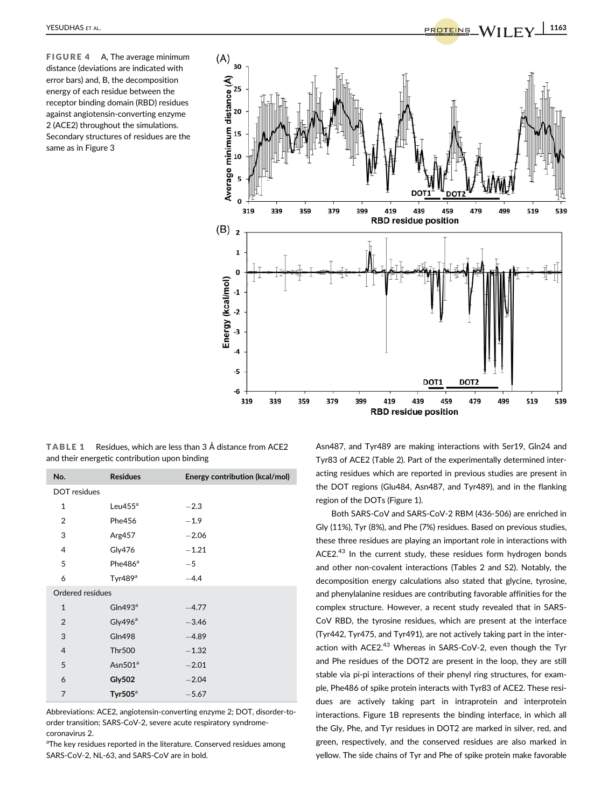FIGURE 4 A, The average minimum distance (deviations are indicated with error bars) and, B, the decomposition energy of each residue between the receptor binding domain (RBD) residues against angiotensin-converting enzyme 2 (ACE2) throughout the simulations. Secondary structures of residues are the same as in Figure 3



TABLE 1 Residues, which are less than 3 Å distance from ACE2 and their energetic contribution upon binding

| No.                 | <b>Residues</b>     | Energy contribution (kcal/mol) |  |  |
|---------------------|---------------------|--------------------------------|--|--|
| <b>DOT</b> residues |                     |                                |  |  |
| $\mathbf{1}$        | Leu $455^{\circ}$   | $-2.3$                         |  |  |
| $\overline{2}$      | Phe456              | $-1.9$                         |  |  |
| 3                   | Arg457              | $-2.06$                        |  |  |
| 4                   | Gly476              | $-1.21$                        |  |  |
| 5                   | Phe486 <sup>ª</sup> | $-5$                           |  |  |
| 6                   | Tyr489 <sup>a</sup> | $-4.4$                         |  |  |
| Ordered residues    |                     |                                |  |  |
| $\mathbf{1}$        | GIn493 <sup>a</sup> | $-4.77$                        |  |  |
| $\overline{2}$      | Gly $496^a$         | $-3.46$                        |  |  |
| 3                   | <b>Gln498</b>       | $-4.89$                        |  |  |
| $\overline{4}$      | <b>Thr500</b>       | $-1.32$                        |  |  |
| 5                   | Asn $501^a$         | $-2.01$                        |  |  |
| 6                   | <b>Gly502</b>       | $-2.04$                        |  |  |
| 7                   | Tyr505 $a$          | $-5.67$                        |  |  |

Abbreviations: ACE2, angiotensin-converting enzyme 2; DOT, disorder-toorder transition; SARS-CoV-2, severe acute respiratory syndromecoronavirus 2.

<sup>a</sup>The key residues reported in the literature. Conserved residues among SARS-CoV-2, NL-63, and SARS-CoV are in bold.

Asn487, and Tyr489 are making interactions with Ser19, Gln24 and Tyr83 of ACE2 (Table 2). Part of the experimentally determined interacting residues which are reported in previous studies are present in the DOT regions (Glu484, Asn487, and Tyr489), and in the flanking region of the DOTs (Figure 1).

Both SARS-CoV and SARS-CoV-2 RBM (436-506) are enriched in Gly (11%), Tyr (8%), and Phe (7%) residues. Based on previous studies, these three residues are playing an important role in interactions with ACE2.<sup>43</sup> In the current study, these residues form hydrogen bonds and other non-covalent interactions (Tables 2 and S2). Notably, the decomposition energy calculations also stated that glycine, tyrosine, and phenylalanine residues are contributing favorable affinities for the complex structure. However, a recent study revealed that in SARS-CoV RBD, the tyrosine residues, which are present at the interface (Tyr442, Tyr475, and Tyr491), are not actively taking part in the interaction with ACE2.<sup>43</sup> Whereas in SARS-CoV-2, even though the Tyr and Phe residues of the DOT2 are present in the loop, they are still stable via pi-pi interactions of their phenyl ring structures, for example, Phe486 of spike protein interacts with Tyr83 of ACE2. These residues are actively taking part in intraprotein and interprotein interactions. Figure 1B represents the binding interface, in which all the Gly, Phe, and Tyr residues in DOT2 are marked in silver, red, and green, respectively, and the conserved residues are also marked in yellow. The side chains of Tyr and Phe of spike protein make favorable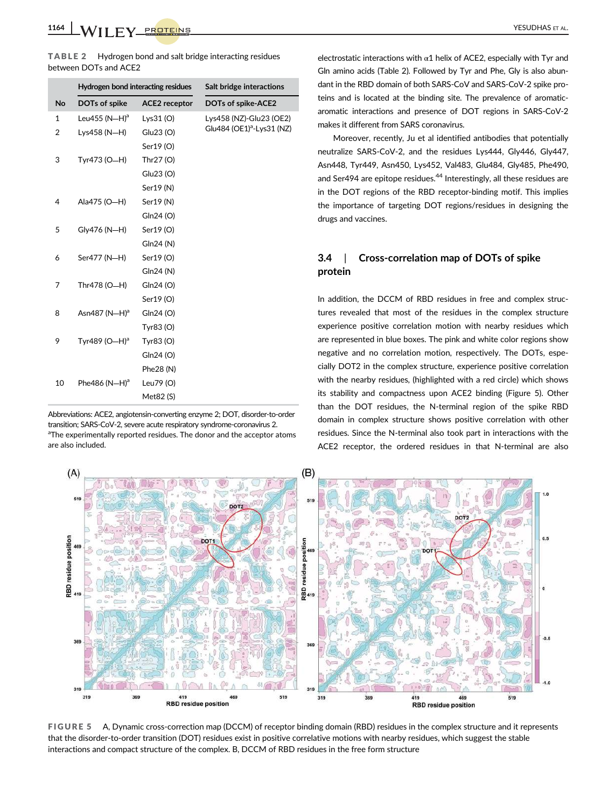TABLE 2 Hydrogen bond and salt bridge interacting residues between DOTs and ACE2

|           | Hydrogen bond interacting residues |                      | Salt bridge interactions              |
|-----------|------------------------------------|----------------------|---------------------------------------|
| <b>No</b> | DOTs of spike                      | <b>ACE2</b> receptor | DOTs of spike-ACE2                    |
| 1         | Leu455 (N-H) <sup>a</sup>          | Lys $31(0)$          | Lys458 (NZ)-Glu23 (OE2)               |
| 2         | Lys458 (N-H)                       | Glu23 (O)            | Glu484 (OE1) <sup>a</sup> -Lys31 (NZ) |
|           |                                    | Ser19 (O)            |                                       |
| 3         | Tyr473 (O-H)                       | Thr27 (O)            |                                       |
|           |                                    | Glu23 (O)            |                                       |
|           |                                    | Ser19 (N)            |                                       |
| 4         | Ala475 (O-H)                       | Ser19 (N)            |                                       |
|           |                                    | Gln24 (O)            |                                       |
| 5         | Gly476 (N-H)                       | Ser19 (O)            |                                       |
|           |                                    | Gln24 (N)            |                                       |
| 6         | Ser477 (N-H)                       | Ser19 (O)            |                                       |
|           |                                    | Gln24 (N)            |                                       |
| 7         | Thr478 (O-H)                       | Gln24 (O)            |                                       |
|           |                                    | Ser19 (O)            |                                       |
| 8         | Asn487 (N-H) <sup>a</sup>          | Gln24 (O)            |                                       |
|           |                                    | Tyr83 (O)            |                                       |
| 9         | Tyr489 (O-H) <sup>a</sup>          | Tyr83 (O)            |                                       |
|           |                                    | Gln24 (O)            |                                       |
|           |                                    | Phe28 (N)            |                                       |
| 10        | Phe486 $(N-H)^a$                   | Leu79 (O)            |                                       |
|           |                                    | Met82 (S)            |                                       |

Abbreviations: ACE2, angiotensin-converting enzyme 2; DOT, disorder-to-order transition; SARS-CoV-2, severe acute respiratory syndrome-coronavirus 2. <sup>a</sup>The experimentally reported residues. The donor and the acceptor atoms are also included.

electrostatic interactions with  $\alpha$ 1 helix of ACE2, especially with Tyr and Gln amino acids (Table 2). Followed by Tyr and Phe, Gly is also abundant in the RBD domain of both SARS-CoV and SARS-CoV-2 spike proteins and is located at the binding site. The prevalence of aromaticaromatic interactions and presence of DOT regions in SARS-CoV-2 makes it different from SARS coronavirus.

Moreover, recently, Ju et al identified antibodies that potentially neutralize SARS-CoV-2, and the residues Lys444, Gly446, Gly447, Asn448, Tyr449, Asn450, Lys452, Val483, Glu484, Gly485, Phe490, and Ser494 are epitope residues.<sup>44</sup> Interestingly, all these residues are in the DOT regions of the RBD receptor-binding motif. This implies the importance of targeting DOT regions/residues in designing the drugs and vaccines.

# 3.4 | Cross-correlation map of DOTs of spike protein

In addition, the DCCM of RBD residues in free and complex structures revealed that most of the residues in the complex structure experience positive correlation motion with nearby residues which are represented in blue boxes. The pink and white color regions show negative and no correlation motion, respectively. The DOTs, especially DOT2 in the complex structure, experience positive correlation with the nearby residues, (highlighted with a red circle) which shows its stability and compactness upon ACE2 binding (Figure 5). Other than the DOT residues, the N-terminal region of the spike RBD domain in complex structure shows positive correlation with other residues. Since the N-terminal also took part in interactions with the ACE2 receptor, the ordered residues in that N-terminal are also



FIGURE 5 A, Dynamic cross-correction map (DCCM) of receptor binding domain (RBD) residues in the complex structure and it represents that the disorder-to-order transition (DOT) residues exist in positive correlative motions with nearby residues, which suggest the stable interactions and compact structure of the complex. B, DCCM of RBD residues in the free form structure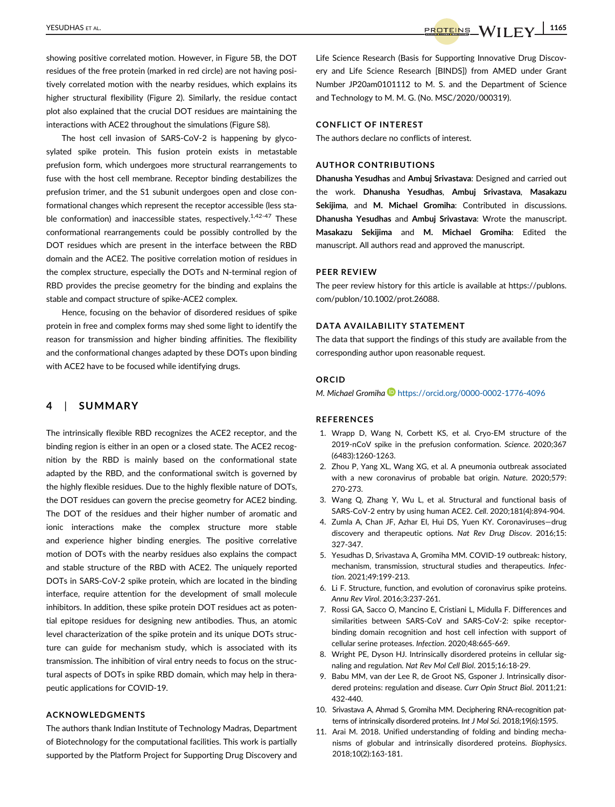showing positive correlated motion. However, in Figure 5B, the DOT residues of the free protein (marked in red circle) are not having positively correlated motion with the nearby residues, which explains its higher structural flexibility (Figure 2). Similarly, the residue contact plot also explained that the crucial DOT residues are maintaining the interactions with ACE2 throughout the simulations (Figure S8).

The host cell invasion of SARS-CoV-2 is happening by glycosylated spike protein. This fusion protein exists in metastable prefusion form, which undergoes more structural rearrangements to fuse with the host cell membrane. Receptor binding destabilizes the prefusion trimer, and the S1 subunit undergoes open and close conformational changes which represent the receptor accessible (less stable conformation) and inaccessible states, respectively.<sup>1,42-47</sup> These conformational rearrangements could be possibly controlled by the DOT residues which are present in the interface between the RBD domain and the ACE2. The positive correlation motion of residues in the complex structure, especially the DOTs and N-terminal region of RBD provides the precise geometry for the binding and explains the stable and compact structure of spike-ACE2 complex.

Hence, focusing on the behavior of disordered residues of spike protein in free and complex forms may shed some light to identify the reason for transmission and higher binding affinities. The flexibility and the conformational changes adapted by these DOTs upon binding with ACE2 have to be focused while identifying drugs.

# 4 | SUMMARY

The intrinsically flexible RBD recognizes the ACE2 receptor, and the binding region is either in an open or a closed state. The ACE2 recognition by the RBD is mainly based on the conformational state adapted by the RBD, and the conformational switch is governed by the highly flexible residues. Due to the highly flexible nature of DOTs, the DOT residues can govern the precise geometry for ACE2 binding. The DOT of the residues and their higher number of aromatic and ionic interactions make the complex structure more stable and experience higher binding energies. The positive correlative motion of DOTs with the nearby residues also explains the compact and stable structure of the RBD with ACE2. The uniquely reported DOTs in SARS-CoV-2 spike protein, which are located in the binding interface, require attention for the development of small molecule inhibitors. In addition, these spike protein DOT residues act as potential epitope residues for designing new antibodies. Thus, an atomic level characterization of the spike protein and its unique DOTs structure can guide for mechanism study, which is associated with its transmission. The inhibition of viral entry needs to focus on the structural aspects of DOTs in spike RBD domain, which may help in therapeutic applications for COVID-19.

### ACKNOWLEDGMENTS

The authors thank Indian Institute of Technology Madras, Department of Biotechnology for the computational facilities. This work is partially supported by the Platform Project for Supporting Drug Discovery and Life Science Research (Basis for Supporting Innovative Drug Discovery and Life Science Research [BINDS]) from AMED under Grant Number JP20am0101112 to M. S. and the Department of Science and Technology to M. M. G. (No. MSC/2020/000319).

## CONFLICT OF INTEREST

The authors declare no conflicts of interest.

### AUTHOR CONTRIBUTIONS

Dhanusha Yesudhas and Ambuj Srivastava: Designed and carried out the work. Dhanusha Yesudhas, Ambuj Srivastava, Masakazu Sekijima, and M. Michael Gromiha: Contributed in discussions. Dhanusha Yesudhas and Ambuj Srivastava: Wrote the manuscript. Masakazu Sekijima and M. Michael Gromiha: Edited the manuscript. All authors read and approved the manuscript.

### PEER REVIEW

The peer review history for this article is available at https://publons. com/publon/10.1002/prot.26088.

### DATA AVAILABILITY STATEMENT

The data that support the findings of this study are available from the corresponding author upon reasonable request.

### ORCID

M. Michael Gromiha https://orcid.org/0000-0002-1776-4096

#### **REFERENCES**

- 1. Wrapp D, Wang N, Corbett KS, et al. Cryo-EM structure of the 2019-nCoV spike in the prefusion conformation. Science. 2020;367 (6483):1260-1263.
- 2. Zhou P, Yang XL, Wang XG, et al. A pneumonia outbreak associated with a new coronavirus of probable bat origin. Nature. 2020;579: 270-273.
- 3. Wang Q, Zhang Y, Wu L, et al. Structural and functional basis of SARS-CoV-2 entry by using human ACE2. Cell. 2020;181(4):894-904.
- 4. Zumla A, Chan JF, Azhar EI, Hui DS, Yuen KY. Coronaviruses—drug discovery and therapeutic options. Nat Rev Drug Discov. 2016;15: 327-347.
- 5. Yesudhas D, Srivastava A, Gromiha MM. COVID-19 outbreak: history, mechanism, transmission, structural studies and therapeutics. Infection. 2021;49:199-213.
- 6. Li F. Structure, function, and evolution of coronavirus spike proteins. Annu Rev Virol. 2016;3:237-261.
- 7. Rossi GA, Sacco O, Mancino E, Cristiani L, Midulla F. Differences and similarities between SARS-CoV and SARS-CoV-2: spike receptorbinding domain recognition and host cell infection with support of cellular serine proteases. Infection. 2020;48:665-669.
- 8. Wright PE, Dyson HJ. Intrinsically disordered proteins in cellular signaling and regulation. Nat Rev Mol Cell Biol. 2015;16:18-29.
- 9. Babu MM, van der Lee R, de Groot NS, Gsponer J. Intrinsically disordered proteins: regulation and disease. Curr Opin Struct Biol. 2011;21: 432-440.
- 10. Srivastava A, Ahmad S, Gromiha MM. Deciphering RNA-recognition patterns of intrinsically disordered proteins. Int J Mol Sci. 2018;19(6):1595.
- 11. Arai M. 2018. Unified understanding of folding and binding mechanisms of globular and intrinsically disordered proteins. Biophysics. 2018;10(2):163-181.